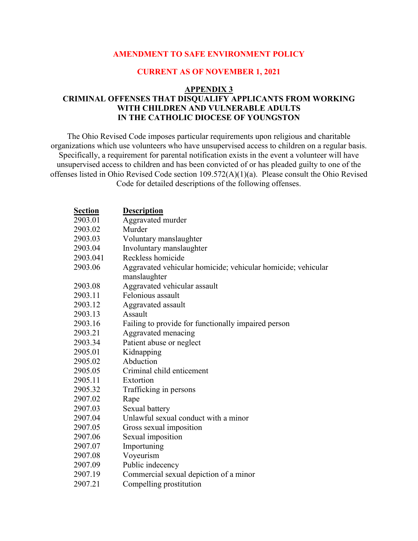## **AMENDMENT TO SAFE ENVIRONMENT POLICY**

## **CURRENT AS OF NOVEMBER 1, 2021**

## **APPENDIX 3**

## **CRIMINAL OFFENSES THAT DISQUALIFY APPLICANTS FROM WORKING WITH CHILDREN AND VULNERABLE ADULTS IN THE CATHOLIC DIOCESE OF YOUNGSTON**

The Ohio Revised Code imposes particular requirements upon religious and charitable organizations which use volunteers who have unsupervised access to children on a regular basis. Specifically, a requirement for parental notification exists in the event a volunteer will have unsupervised access to children and has been convicted of or has pleaded guilty to one of the offenses listed in Ohio Revised Code section 109.572(A)(1)(a). Please consult the Ohio Revised Code for detailed descriptions of the following offenses.

| <b>Section</b> | <b>Description</b>                                           |
|----------------|--------------------------------------------------------------|
| 2903.01        | Aggravated murder                                            |
| 2903.02        | Murder                                                       |
| 2903.03        | Voluntary manslaughter                                       |
| 2903.04        | Involuntary manslaughter                                     |
| 2903.041       | Reckless homicide                                            |
| 2903.06        | Aggravated vehicular homicide; vehicular homicide; vehicular |
|                | manslaughter                                                 |
| 2903.08        | Aggravated vehicular assault                                 |
| 2903.11        | Felonious assault                                            |
| 2903.12        | Aggravated assault                                           |
| 2903.13        | Assault                                                      |
| 2903.16        | Failing to provide for functionally impaired person          |
| 2903.21        | Aggravated menacing                                          |
| 2903.34        | Patient abuse or neglect                                     |
| 2905.01        | Kidnapping                                                   |
| 2905.02        | Abduction                                                    |
| 2905.05        | Criminal child enticement                                    |
| 2905.11        | Extortion                                                    |
| 2905.32        | Trafficking in persons                                       |
| 2907.02        | Rape                                                         |
| 2907.03        | Sexual battery                                               |
| 2907.04        | Unlawful sexual conduct with a minor                         |
| 2907.05        | Gross sexual imposition                                      |
| 2907.06        | Sexual imposition                                            |
| 2907.07        | Importuning                                                  |
| 2907.08        | Voyeurism                                                    |
| 2907.09        | Public indecency                                             |
| 2907.19        | Commercial sexual depiction of a minor                       |
| 2907.21        | Compelling prostitution                                      |